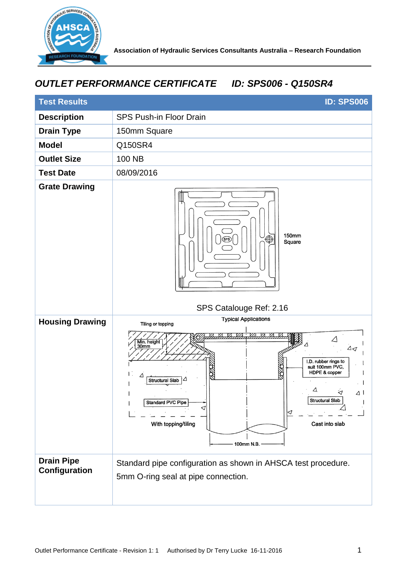

## *OUTLET PERFORMANCE CERTIFICATE ID: SPS006 - Q150SR4*

| <b>Test Results</b><br><b>ID: SPS006</b> |                                                                                                                                                                                                                                                                                                                         |
|------------------------------------------|-------------------------------------------------------------------------------------------------------------------------------------------------------------------------------------------------------------------------------------------------------------------------------------------------------------------------|
| <b>Description</b>                       | <b>SPS Push-in Floor Drain</b>                                                                                                                                                                                                                                                                                          |
| <b>Drain Type</b>                        | 150mm Square                                                                                                                                                                                                                                                                                                            |
| <b>Model</b>                             | Q150SR4                                                                                                                                                                                                                                                                                                                 |
| <b>Outlet Size</b>                       | 100 NB                                                                                                                                                                                                                                                                                                                  |
| <b>Test Date</b>                         | 08/09/2016                                                                                                                                                                                                                                                                                                              |
| <b>Grate Drawing</b>                     | 150mm<br>$\oplus$<br>Square                                                                                                                                                                                                                                                                                             |
|                                          | SPS Catalouge Ref: 2.16                                                                                                                                                                                                                                                                                                 |
| <b>Housing Drawing</b>                   | <b>Typical Applications</b><br>Tiling or topping<br>Min. height<br>30mm<br>$\Delta$<br>I.D. rubber rings to<br>suit 100mm PVC,<br>ЖØ<br>HDPE & copper<br>E.<br>Δ<br><b>Structural Slab</b><br>Δ.<br>₹<br>∆ ।<br>Structural Slab<br><b>Standard PVC Pipe</b><br>⊲<br>With topping/tiling<br>Cast into slab<br>100mm N.B. |
| <b>Drain Pipe</b><br>Configuration       | Standard pipe configuration as shown in AHSCA test procedure.<br>5mm O-ring seal at pipe connection.                                                                                                                                                                                                                    |